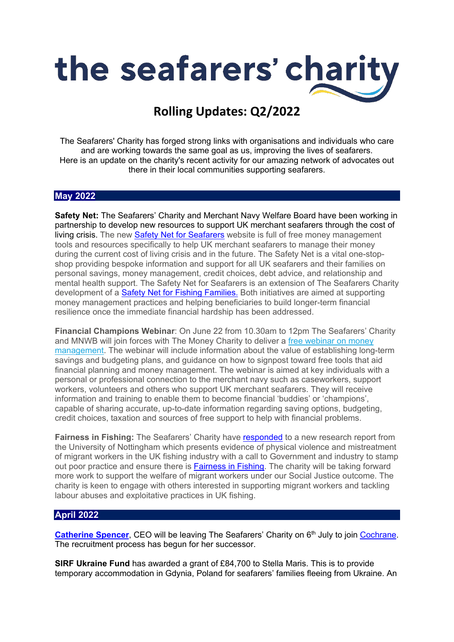

## **Rolling Updates: Q2/2022**

The Seafarers' Charity has forged strong links with organisations and individuals who care and are working towards the same goal as us, improving the lives of seafarers. Here is an update on the charity's recent activity for our amazing network of advocates out there in their local communities supporting seafarers.

## **May 2022**

**Safety Net:** The Seafarers' Charity and Merchant Navy Welfare Board have been working in partnership to develop new resources to support UK merchant seafarers through the cost of living crisis. The new **Safety Net [for Seafarers](https://seafarersafetynet.org/)** website is full of free money management tools and resources specifically to help UK merchant seafarers to manage their money during the current cost of living crisis and in the future. The Safety Net is a vital one-stopshop providing bespoke information and support for all UK seafarers and their families on personal savings, money management, credit choices, debt advice, and relationship and mental health support. The Safety Net for Seafarers is an extension of The Seafarers Charity development of a [Safety Net for Fishing Families.](https://fishingsafetynet.co.uk/) Both initiatives are aimed at supporting money management practices and helping beneficiaries to build longer-term financial resilience once the immediate financial hardship has been addressed.

**Financial Champions Webinar**: On June 22 from 10.30am to 12pm The Seafarers' Charity and MNWB will join forces with The Money Charity to deliver a free [webinar](https://theseafarerscharity.cmail20.com/t/i-i-cuuthhd-l-j/) on money [management.](https://theseafarerscharity.cmail20.com/t/i-i-cuuthhd-l-j/) The webinar will include information about the value of establishing long-term savings and budgeting plans, and guidance on how to signpost toward free tools that aid financial planning and money management. The webinar is aimed at key individuals with a personal or professional connection to the merchant navy such as caseworkers, support workers, volunteers and others who support UK merchant seafarers. They will receive information and training to enable them to become financial 'buddies' or 'champions', capable of sharing accurate, up-to-date information regarding saving options, budgeting, credit choices, taxation and sources of free support to help with financial problems.

**Fairness in Fishing:** The Seafarers' Charity have [responded](https://www.theseafarerscharity.org/news/the-seafarers-charity-stands-ready-to-support-migrant-workers-in-uk-fishing) to a new research report from the University of Nottingham which presents evidence of physical violence and mistreatment of migrant workers in the UK fishing industry with a call to Government and industry to stamp out poor practice and ensure there is [Fairness in Fishing.](https://www.theseafarerscharity.org/what-we-do/our-influence/fairness-in-fishing) The charity will be taking forward more work to support the welfare of migrant workers under our Social Justice outcome. The charity is keen to engage with others interested in supporting migrant workers and tackling labour abuses and exploitative practices in UK fishing.

## **April 2022**

**[Catherine Spencer](https://www.theseafarerscharity.org/news/the-seafarers-charitys-chief-executive-officer-to-step-down)**, CEO will be leaving The Seafarers' Charity on 6<sup>th</sup> July to join [Cochrane.](https://www.cochrane.org/news/catherine-spencer-join-cochrane-new-chief-executive-officer) The recruitment process has begun for her successor.

**SIRF Ukraine Fund** has awarded a grant of £84,700 to Stella Maris. This is to provide temporary accommodation in Gdynia, Poland for seafarers' families fleeing from Ukraine. An